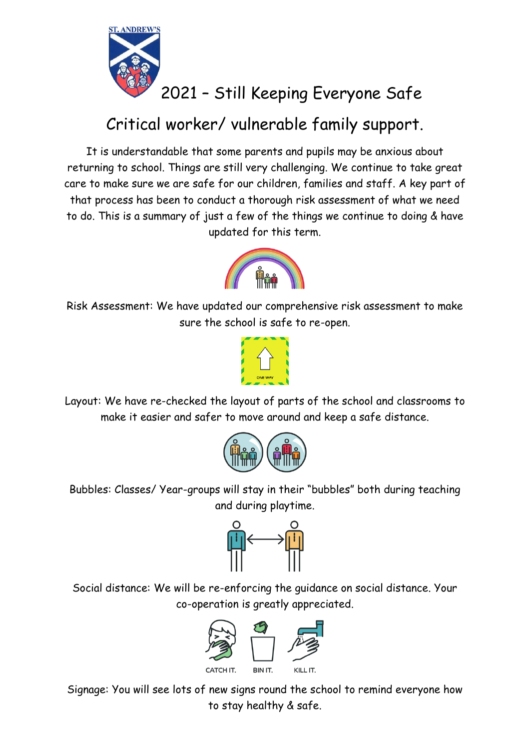

## 2021 – Still Keeping Everyone Safe

## Critical worker/ vulnerable family support.

It is understandable that some parents and pupils may be anxious about returning to school. Things are still very challenging. We continue to take great care to make sure we are safe for our children, families and staff. A key part of that process has been to conduct a thorough risk assessment of what we need to do. This is a summary of just a few of the things we continue to doing & have updated for this term.



Risk Assessment: We have updated our comprehensive risk assessment to make sure the school is safe to re-open.



Layout: We have re-checked the layout of parts of the school and classrooms to make it easier and safer to move around and keep a safe distance.



Bubbles: Classes/ Year-groups will stay in their "bubbles" both during teaching and during playtime.



Social distance: We will be re-enforcing the guidance on social distance. Your co-operation is greatly appreciated.



Signage: You will see lots of new signs round the school to remind everyone how to stay healthy & safe.